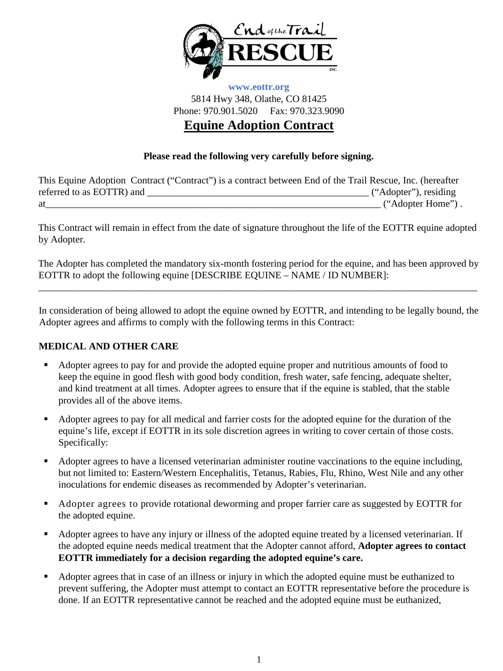

## **www.eottr.org** 5814 Hwy 348, Olathe, CO 81425 Phone: 970.901.5020 Fax: 970.323.9090 **Equine Adoption Contract**

### **Please read the following very carefully before signing.**

| This Equine Adoption Contract ("Contract") is a contract between End of the Trail Rescue, Inc. (hereafter |                       |
|-----------------------------------------------------------------------------------------------------------|-----------------------|
| referred to as EOTTR) and                                                                                 | ("Adopter"), residing |
| at                                                                                                        | ("Adopter Home").     |

This Contract will remain in effect from the date of signature throughout the life of the EOTTR equine adopted by Adopter.

The Adopter has completed the mandatory six-month fostering period for the equine, and has been approved by EOTTR to adopt the following equine [DESCRIBE EQUINE – NAME / ID NUMBER]:

\_\_\_\_\_\_\_\_\_\_\_\_\_\_\_\_\_\_\_\_\_\_\_\_\_\_\_\_\_\_\_\_\_\_\_\_\_\_\_\_\_\_\_\_\_\_\_\_\_\_\_\_\_\_\_\_\_\_\_\_\_\_\_\_\_\_\_\_\_\_\_\_\_\_\_\_\_\_\_\_\_\_\_\_\_\_\_\_\_

In consideration of being allowed to adopt the equine owned by EOTTR, and intending to be legally bound, the Adopter agrees and affirms to comply with the following terms in this Contract:

#### **MEDICAL AND OTHER CARE**

- Adopter agrees to pay for and provide the adopted equine proper and nutritious amounts of food to keep the equine in good flesh with good body condition, fresh water, safe fencing, adequate shelter, and kind treatment at all times. Adopter agrees to ensure that if the equine is stabled, that the stable provides all of the above items.
- Adopter agrees to pay for all medical and farrier costs for the adopted equine for the duration of the equine's life, except if EOTTR in its sole discretion agrees in writing to cover certain of those costs. Specifically:
- Adopter agrees to have a licensed veterinarian administer routine vaccinations to the equine including, but not limited to: Eastern/Western Encephalitis, Tetanus, Rabies, Flu, Rhino, West Nile and any other inoculations for endemic diseases as recommended by Adopter's veterinarian.
- Adopter agrees to provide rotational deworming and proper farrier care as suggested by EOTTR for the adopted equine.
- Adopter agrees to have any injury or illness of the adopted equine treated by a licensed veterinarian. If the adopted equine needs medical treatment that the Adopter cannot afford, **Adopter agrees to contact EOTTR immediately for a decision regarding the adopted equine's care.**
- Adopter agrees that in case of an illness or injury in which the adopted equine must be euthanized to prevent suffering, the Adopter must attempt to contact an EOTTR representative before the procedure is done. If an EOTTR representative cannot be reached and the adopted equine must be euthanized,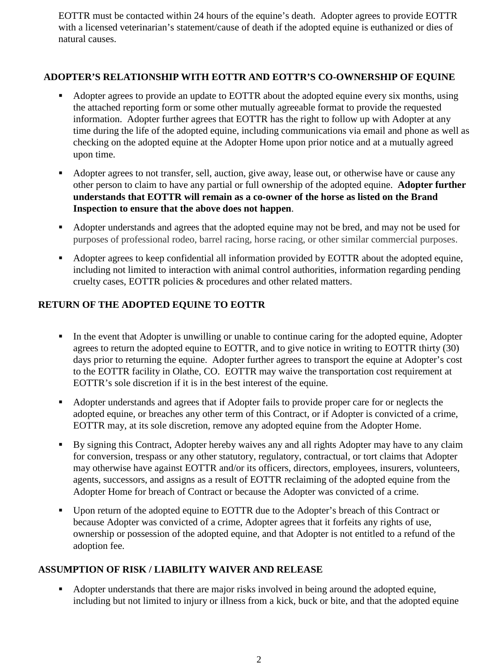EOTTR must be contacted within 24 hours of the equine's death. Adopter agrees to provide EOTTR with a licensed veterinarian's statement/cause of death if the adopted equine is euthanized or dies of natural causes.

## **ADOPTER'S RELATIONSHIP WITH EOTTR AND EOTTR'S CO-OWNERSHIP OF EQUINE**

- Adopter agrees to provide an update to EOTTR about the adopted equine every six months, using the attached reporting form or some other mutually agreeable format to provide the requested information. Adopter further agrees that EOTTR has the right to follow up with Adopter at any time during the life of the adopted equine, including communications via email and phone as well as checking on the adopted equine at the Adopter Home upon prior notice and at a mutually agreed upon time.
- Adopter agrees to not transfer, sell, auction, give away, lease out, or otherwise have or cause any other person to claim to have any partial or full ownership of the adopted equine. **Adopter further understands that EOTTR will remain as a co-owner of the horse as listed on the Brand Inspection to ensure that the above does not happen**.
- Adopter understands and agrees that the adopted equine may not be bred, and may not be used for purposes of professional rodeo, barrel racing, horse racing, or other similar commercial purposes.
- Adopter agrees to keep confidential all information provided by EOTTR about the adopted equine, including not limited to interaction with animal control authorities, information regarding pending cruelty cases, EOTTR policies & procedures and other related matters.

# **RETURN OF THE ADOPTED EQUINE TO EOTTR**

- In the event that Adopter is unwilling or unable to continue caring for the adopted equine, Adopter agrees to return the adopted equine to EOTTR, and to give notice in writing to EOTTR thirty (30) days prior to returning the equine. Adopter further agrees to transport the equine at Adopter's cost to the EOTTR facility in Olathe, CO. EOTTR may waive the transportation cost requirement at EOTTR's sole discretion if it is in the best interest of the equine.
- Adopter understands and agrees that if Adopter fails to provide proper care for or neglects the adopted equine, or breaches any other term of this Contract, or if Adopter is convicted of a crime, EOTTR may, at its sole discretion, remove any adopted equine from the Adopter Home.
- By signing this Contract, Adopter hereby waives any and all rights Adopter may have to any claim for conversion, trespass or any other statutory, regulatory, contractual, or tort claims that Adopter may otherwise have against EOTTR and/or its officers, directors, employees, insurers, volunteers, agents, successors, and assigns as a result of EOTTR reclaiming of the adopted equine from the Adopter Home for breach of Contract or because the Adopter was convicted of a crime.
- Upon return of the adopted equine to EOTTR due to the Adopter's breach of this Contract or because Adopter was convicted of a crime, Adopter agrees that it forfeits any rights of use, ownership or possession of the adopted equine, and that Adopter is not entitled to a refund of the adoption fee.

#### **ASSUMPTION OF RISK / LIABILITY WAIVER AND RELEASE**

 Adopter understands that there are major risks involved in being around the adopted equine, including but not limited to injury or illness from a kick, buck or bite, and that the adopted equine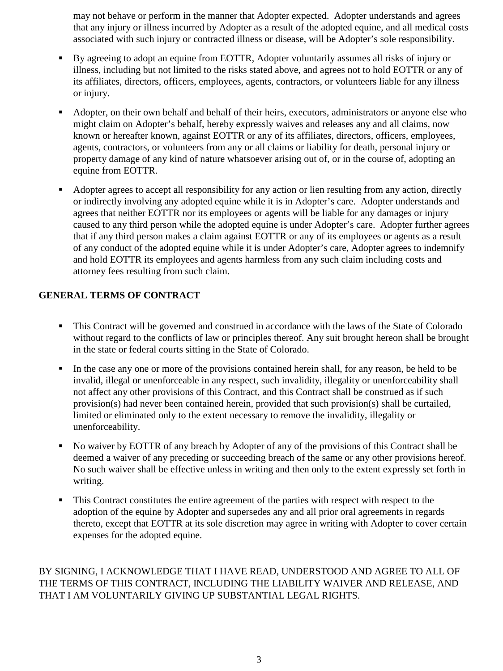may not behave or perform in the manner that Adopter expected. Adopter understands and agrees that any injury or illness incurred by Adopter as a result of the adopted equine, and all medical costs associated with such injury or contracted illness or disease, will be Adopter's sole responsibility.

- By agreeing to adopt an equine from EOTTR, Adopter voluntarily assumes all risks of injury or illness, including but not limited to the risks stated above, and agrees not to hold EOTTR or any of its affiliates, directors, officers, employees, agents, contractors, or volunteers liable for any illness or injury.
- Adopter, on their own behalf and behalf of their heirs, executors, administrators or anyone else who might claim on Adopter's behalf, hereby expressly waives and releases any and all claims, now known or hereafter known, against EOTTR or any of its affiliates, directors, officers, employees, agents, contractors, or volunteers from any or all claims or liability for death, personal injury or property damage of any kind of nature whatsoever arising out of, or in the course of, adopting an equine from EOTTR.
- Adopter agrees to accept all responsibility for any action or lien resulting from any action, directly or indirectly involving any adopted equine while it is in Adopter's care. Adopter understands and agrees that neither EOTTR nor its employees or agents will be liable for any damages or injury caused to any third person while the adopted equine is under Adopter's care. Adopter further agrees that if any third person makes a claim against EOTTR or any of its employees or agents as a result of any conduct of the adopted equine while it is under Adopter's care, Adopter agrees to indemnify and hold EOTTR its employees and agents harmless from any such claim including costs and attorney fees resulting from such claim.

## **GENERAL TERMS OF CONTRACT**

- This Contract will be governed and construed in accordance with the laws of the State of Colorado without regard to the conflicts of law or principles thereof. Any suit brought hereon shall be brought in the state or federal courts sitting in the State of Colorado.
- In the case any one or more of the provisions contained herein shall, for any reason, be held to be invalid, illegal or unenforceable in any respect, such invalidity, illegality or unenforceability shall not affect any other provisions of this Contract, and this Contract shall be construed as if such provision(s) had never been contained herein, provided that such provision(s) shall be curtailed, limited or eliminated only to the extent necessary to remove the invalidity, illegality or unenforceability.
- No waiver by EOTTR of any breach by Adopter of any of the provisions of this Contract shall be deemed a waiver of any preceding or succeeding breach of the same or any other provisions hereof. No such waiver shall be effective unless in writing and then only to the extent expressly set forth in writing.
- This Contract constitutes the entire agreement of the parties with respect with respect to the adoption of the equine by Adopter and supersedes any and all prior oral agreements in regards thereto, except that EOTTR at its sole discretion may agree in writing with Adopter to cover certain expenses for the adopted equine.

BY SIGNING, I ACKNOWLEDGE THAT I HAVE READ, UNDERSTOOD AND AGREE TO ALL OF THE TERMS OF THIS CONTRACT, INCLUDING THE LIABILITY WAIVER AND RELEASE, AND THAT I AM VOLUNTARILY GIVING UP SUBSTANTIAL LEGAL RIGHTS.